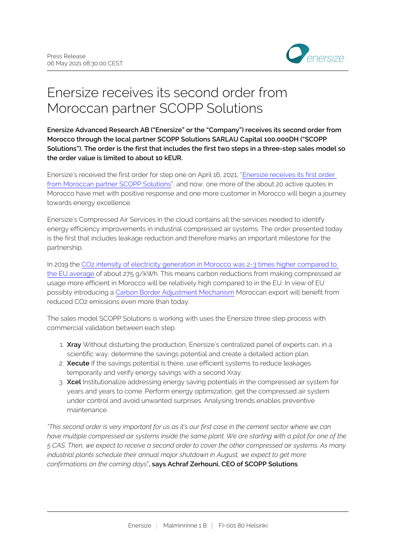

# Enersize receives its second order from Moroccan partner SCOPP Solutions

**Enersize Advanced Research AB ("Enersize" or the "Company") receives its second order from Morocco through the local partner SCOPP Solutions SARLAU Capital 100.000DH ("SCOPP Solutions"). The order is the first that includes the first two steps in a three-step sales model so the order value is limited to about 10 kEUR.**

Enersize's received the first order for step one on April 16, 2021, ["Enersize receives its first order](https://mfn.se/a/enersize/enersize-receives-its-first-order-from-moroccan-partner-scopp-solutions)  [from Moroccan partner SCOPP Solutions](https://mfn.se/a/enersize/enersize-receives-its-first-order-from-moroccan-partner-scopp-solutions)", and now, one more of the about 20 active quotes in Morocco have met with positive response and one more customer in Morocco will begin a journey towards energy excellence.

Enersize's Compressed Air Services in the cloud contains all the services needed to identify energy efficiency improvements in industrial compressed air systems. The order presented today is the first that includes leakage reduction and therefore marks an important milestone for the partnership.

In 2019 the [CO2 intensity of electricity generation in Morocco was 2-3 times higher compared to](https://www.carbonbrief.org/guest-post-ten-charts-show-how-the-world-is-progressing-on-clean-energy)  [the EU average](https://www.carbonbrief.org/guest-post-ten-charts-show-how-the-world-is-progressing-on-clean-energy) of about 275 g/kWh. This means carbon reductions from making compressed air usage more efficient in Morocco will be relatively high compared to in the EU. In view of EU possibly introducing a [Carbon Border Adjustment Mechanism](https://ec.europa.eu/info/law/better-regulation/have-your-say/initiatives/12228-Carbon-Border-Adjustment-Mechanism) Moroccan export will benefit from reduced CO2 emissions even more than today.

The sales model SCOPP Solutions is working with uses the Enersize three step process with commercial validation between each step.

- 1. **Xray** Without disturbing the production, Enersize's centralized panel of experts can, in a scientific way, determine the savings potential and create a detailed action plan.
- 2. **Xecute** If the savings potential is there, use efficient systems to reduce leakages temporarily and verify energy savings with a second Xray.
- 3. **Xcel** Institutionalize addressing energy saving potentials in the compressed air system for years and years to come. Perform energy optimization, get the compressed air system under control and avoid unwanted surprises. Analysing trends enables preventive maintenance.

*"This second order is very important for us as it's our first case in the cement sector where we can have multiple compressed air systems inside the same plant. We are starting with a pilot for one of the 5 CAS. Then, we expect to receive a second order to cover the other compressed air systems. As many industrial plants schedule their annual major shutdown in August, we expect to get more confirmations on the coming days*"**, says Achraf Zerhouni, CEO of SCOPP Solutions**